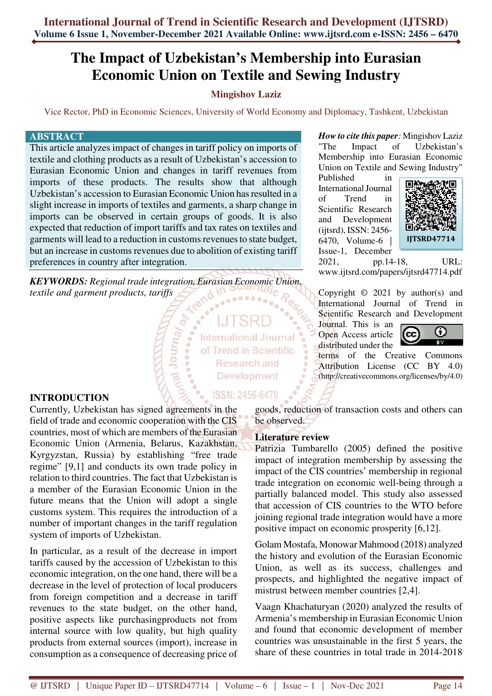# **The Impact of Uzbekistan's Membership into Eurasian Economic Union on Textile and Sewing Industry**

# **Mingishov Laziz**

Vice Rector, PhD in Economic Sciences, University of World Economy and Diplomacy, Tashkent, Uzbekistan

#### **ABSTRACT**

This article analyzes impact of changes in tariff policy on imports of textile and clothing products as a result of Uzbekistan's accession to Eurasian Economic Union and changes in tariff revenues from imports of these products. The results show that although Uzbekistan's accession to Eurasian Economic Union has resulted in a slight increase in imports of textiles and garments, a sharp change in imports can be observed in certain groups of goods. It is also expected that reduction of import tariffs and tax rates on textiles and garments will lead to a reduction in customs revenues to state budget, but an increase in customs revenues due to abolition of existing tariff preferences in country after integration.

*KEYWORDS: Regional trade integration, Eurasian Economic Union, textile and garment products, tariffs* 

**Punnot P<sup>ov</sup>** 

**International Journal** of Trend in Scientific **Research and Development** 

**ISSN: 2456-6470** 

### **INTRODUCTION**

Currently, Uzbekistan has signed agreements in the field of trade and economic cooperation with the CIS countries, most of which are members of the Eurasian Economic Union (Armenia, Belarus, Kazakhstan, Kyrgyzstan, Russia) by establishing "free trade regime" [9,1] and conducts its own trade policy in relation to third countries. The fact that Uzbekistan is a member of the Eurasian Economic Union in the future means that the Union will adopt a single customs system. This requires the introduction of a number of important changes in the tariff regulation system of imports of Uzbekistan.

In particular, as a result of the decrease in import tariffs caused by the accession of Uzbekistan to this economic integration, on the one hand, there will be a decrease in the level of protection of local producers from foreign competition and a decrease in tariff revenues to the state budget, on the other hand, positive aspects like purchasingproducts not from internal source with low quality, but high quality products from external sources (import), increase in consumption as a consequence of decreasing price of

*How to cite this paper:* Mingishov Laziz "The Impact of Uzbekistan's Membership into Eurasian Economic Union on Textile and Sewing Industry"

Published in International Journal of Trend in Scientific Research and Development (ijtsrd), ISSN: 2456- 6470, Volume-6 | Issue-1, December



2021, pp.14-18, URL: www.ijtsrd.com/papers/ijtsrd47714.pdf

Copyright  $\odot$  2021 by author(s) and International Journal of Trend in Scientific Research and Development

Journal. This is an Open Access article distributed under the



terms of the Creative Commons Attribution License (CC BY 4.0) (http://creativecommons.org/licenses/by/4.0)

goods, reduction of transaction costs and others can be observed.

#### **Literature review**

Patrizia Tumbarello (2005) defined the positive impact of integration membership by assessing the impact of the CIS countries' membership in regional trade integration on economic well-being through a partially balanced model. This study also assessed that accession of CIS countries to the WTO before joining regional trade integration would have a more positive impact on economic prosperity [6,12].

Golam Mostafa, Monowar Mahmood (2018) analyzed the history and evolution of the Eurasian Economic Union, as well as its success, challenges and prospects, and highlighted the negative impact of mistrust between member countries [2,4].

Vaagn Khachaturyan (2020) analyzed the results of Armenia's membership in Eurasian Economic Union and found that economic development of member countries was unsustainable in the first 5 years, the share of these countries in total trade in 2014-2018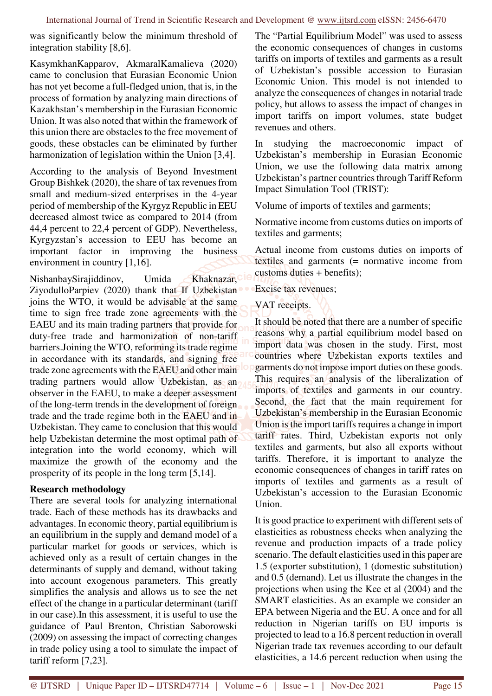was significantly below the minimum threshold of integration stability [8,6].

KasymkhanKapparov, AkmaralKamalieva (2020) came to conclusion that Eurasian Economic Union has not yet become a full-fledged union, that is, in the process of formation by analyzing main directions of Kazakhstan's membership in the Eurasian Economic Union. It was also noted that within the framework of this union there are obstacles to the free movement of goods, these obstacles can be eliminated by further harmonization of legislation within the Union [3,4].

According to the analysis of Beyond Investment Group Bishkek (2020), the share of tax revenues from small and medium-sized enterprises in the 4-year period of membership of the Kyrgyz Republic in EEU decreased almost twice as compared to 2014 (from 44,4 percent to 22,4 percent of GDP). Nevertheless, Kyrgyzstan's accession to EEU has become an important factor in improving the business environment in country [1,16].

NishanbaySirajiddinov, Umida Khaknazar, Ch ZiyodulloParpiev (2020) thank that If Uzbekistan joins the WTO, it would be advisable at the same time to sign free trade zone agreements with the EAEU and its main trading partners that provide for duty-free trade and harmonization of non-tariff barriers.Joining the WTO, reforming its trade regime in accordance with its standards, and signing free trade zone agreements with the EAEU and other main trading partners would allow Uzbekistan, as an observer in the EAEU, to make a deeper assessment of the long-term trends in the development of foreign trade and the trade regime both in the EAEU and in Uzbekistan. They came to conclusion that this would help Uzbekistan determine the most optimal path of integration into the world economy, which will maximize the growth of the economy and the prosperity of its people in the long term [5,14].

# **Research methodology**

There are several tools for analyzing international trade. Each of these methods has its drawbacks and advantages. In economic theory, partial equilibrium is an equilibrium in the supply and demand model of a particular market for goods or services, which is achieved only as a result of certain changes in the determinants of supply and demand, without taking into account exogenous parameters. This greatly simplifies the analysis and allows us to see the net effect of the change in a particular determinant (tariff in our case).In this assessment, it is useful to use the guidance of Paul Brenton, Christian Saborowski (2009) on assessing the impact of correcting changes in trade policy using a tool to simulate the impact of tariff reform [7,23].

The "Partial Equilibrium Model" was used to assess the economic consequences of changes in customs tariffs on imports of textiles and garments as a result of Uzbekistan's possible accession to Eurasian Economic Union. This model is not intended to analyze the consequences of changes in notarial trade policy, but allows to assess the impact of changes in import tariffs on import volumes, state budget revenues and others.

In studying the macroeconomic impact of Uzbekistan's membership in Eurasian Economic Union, we use the following data matrix among Uzbekistan's partner countries through Tariff Reform Impact Simulation Tool (TRIST):

Volume of imports of textiles and garments;

Normative income from customs duties on imports of textiles and garments;

Actual income from customs duties on imports of textiles and garments (= normative income from customs duties + benefits);

Excise tax revenues;

VAT receipts.

It should be noted that there are a number of specific reasons why a partial equilibrium model based on import data was chosen in the study. First, most countries where Uzbekistan exports textiles and garments do not impose import duties on these goods. This requires an analysis of the liberalization of imports of textiles and garments in our country. Second, the fact that the main requirement for Uzbekistan's membership in the Eurasian Economic Union is the import tariffs requires a change in import tariff rates. Third, Uzbekistan exports not only textiles and garments, but also all exports without tariffs. Therefore, it is important to analyze the economic consequences of changes in tariff rates on imports of textiles and garments as a result of Uzbekistan's accession to the Eurasian Economic Union.

It is good practice to experiment with different sets of elasticities as robustness checks when analyzing the revenue and production impacts of a trade policy scenario. The default elasticities used in this paper are 1.5 (exporter substitution), 1 (domestic substitution) and 0.5 (demand). Let us illustrate the changes in the projections when using the Kee et al (2004) and the SMART elasticities. As an example we consider an EPA between Nigeria and the EU. A once and for all reduction in Nigerian tariffs on EU imports is projected to lead to a 16.8 percent reduction in overall Nigerian trade tax revenues according to our default elasticities, a 14.6 percent reduction when using the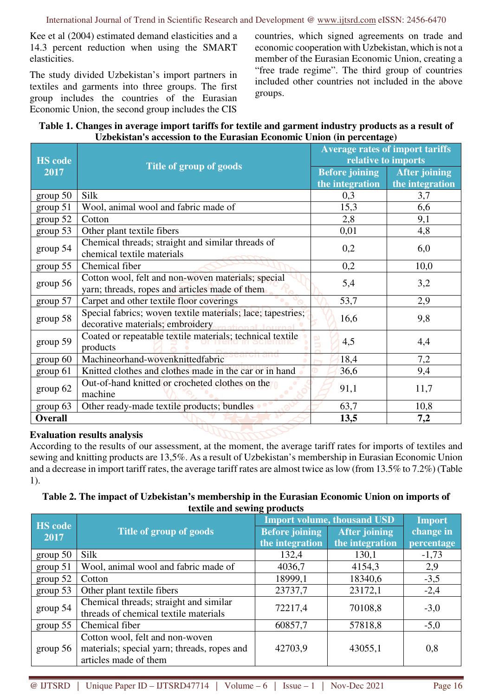Kee et al (2004) estimated demand elasticities and a 14.3 percent reduction when using the SMART elasticities.

The study divided Uzbekistan's import partners in textiles and garments into three groups. The first group includes the countries of the Eurasian Economic Union, the second group includes the CIS

countries, which signed agreements on trade and economic cooperation with Uzbekistan, which is not a member of the Eurasian Economic Union, creating a "free trade regime". The third group of countries included other countries not included in the above groups.

#### **Table 1. Changes in average import tariffs for textile and garment industry products as a result of Uzbekistan's accession to the Eurasian Economic Union (in percentage)**

| <b>HS</b> code<br>2017    | Title of group of goods                                                                                             | <b>Average rates of import tariffs</b><br>relative to imports |                                         |  |
|---------------------------|---------------------------------------------------------------------------------------------------------------------|---------------------------------------------------------------|-----------------------------------------|--|
|                           |                                                                                                                     | <b>Before joining</b><br>the integration                      | <b>After joining</b><br>the integration |  |
| $\frac{\text{group}}{50}$ | Silk                                                                                                                | 0,3                                                           | 3,7                                     |  |
| group 51                  | Wool, animal wool and fabric made of                                                                                | 15,3                                                          | 6,6                                     |  |
| group 52                  | Cotton                                                                                                              | 2,8                                                           | 9,1                                     |  |
| group 53                  | Other plant textile fibers                                                                                          | 0,01                                                          | 4,8                                     |  |
| group 54                  | Chemical threads; straight and similar threads of<br>chemical textile materials                                     | 0,2                                                           | 6,0                                     |  |
| group 55                  | Chemical fiber                                                                                                      | 0,2                                                           | 10,0                                    |  |
| group 56                  | Cotton wool, felt and non-woven materials; special<br>yarn; threads, ropes and articles made of them                | 5,4                                                           | 3,2                                     |  |
| group 57                  | Carpet and other textile floor coverings                                                                            | 53,7                                                          | 2,9                                     |  |
| group 58                  | Special fabrics; woven textile materials; lace; tapestries;<br>decorative materials; embroidery<br>mational Journal | 16,6                                                          | 9,8                                     |  |
| group 59                  | Coated or repeatable textile materials; technical textile<br>products                                               | 4,5                                                           | 4,4                                     |  |
| group 60                  | Machineorhand-wovenknittedfabric                                                                                    | 18,4                                                          | 7,2                                     |  |
| group 61                  | Knitted clothes and clothes made in the car or in hand                                                              | 36,6                                                          | 9,4                                     |  |
| group 62                  | Out-of-hand knitted or crocheted clothes on the<br>machine                                                          | 91,1                                                          | 11,7                                    |  |
| group 63                  | Other ready-made textile products; bundles                                                                          | 63,7                                                          | 10,8                                    |  |
| <b>Overall</b>            |                                                                                                                     | 13,5                                                          | 7,2                                     |  |

# **Evaluation results analysis**

According to the results of our assessment, at the moment, the average tariff rates for imports of textiles and sewing and knitting products are 13,5%. As a result of Uzbekistan's membership in Eurasian Economic Union and a decrease in import tariff rates, the average tariff rates are almost twice as low (from 13.5% to 7.2%) (Table 1).

### **Table 2. The impact of Uzbekistan's membership in the Eurasian Economic Union on imports of textile and sewing products**

| <b>HS</b> code<br>2017 | Title of group of goods                     | . .<br><b>Import volume, thousand USD</b> |                      | <b>Import</b> |
|------------------------|---------------------------------------------|-------------------------------------------|----------------------|---------------|
|                        |                                             | <b>Before joining</b>                     | <b>After joining</b> | change in     |
|                        |                                             | the integration                           | the integration      | percentage    |
| group 50               | Silk                                        | 132,4                                     | 130,1                | $-1,73$       |
| group 51               | Wool, animal wool and fabric made of        | 4036,7                                    | 4154,3               | 2,9           |
| group 52               | Cotton                                      | 18999,1                                   | 18340,6              | $-3,5$        |
| group 53               | Other plant textile fibers                  | 23737,7                                   | 23172,1              | $-2,4$        |
| group 54               | Chemical threads; straight and similar      | 72217,4                                   | 70108,8              | $-3,0$        |
|                        | threads of chemical textile materials       |                                           |                      |               |
| group $55$             | Chemical fiber                              | 60857,7                                   | 57818,8              | $-5,0$        |
| group $56$             | Cotton wool, felt and non-woven             |                                           |                      |               |
|                        | materials; special yarn; threads, ropes and | 42703,9                                   | 43055,1              | 0,8           |
|                        | articles made of them                       |                                           |                      |               |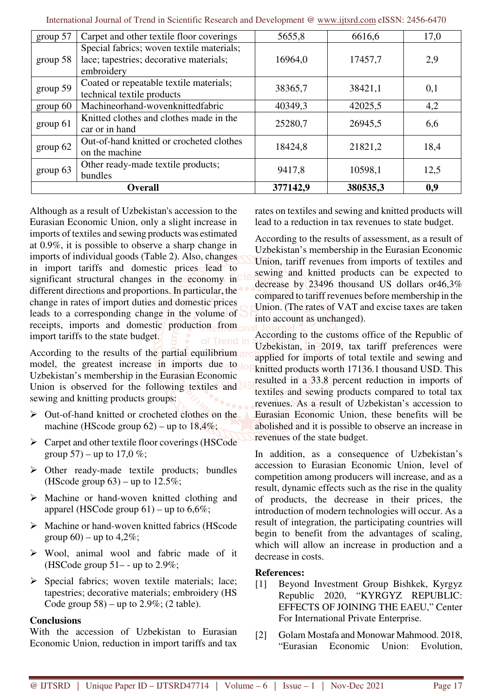| group 57       | Carpet and other textile floor coverings                                                           | 5655,8   | 6616,6   | 17,0 |
|----------------|----------------------------------------------------------------------------------------------------|----------|----------|------|
| group~58       | Special fabrics; woven textile materials;<br>lace; tapestries; decorative materials;<br>embroidery | 16964,0  | 17457,7  | 2,9  |
| group 59       | Coated or repeatable textile materials;<br>technical textile products                              | 38365,7  | 38421,1  | 0,1  |
| group 60       | Machineorhand-wovenknittedfabric                                                                   | 40349,3  | 42025,5  | 4,2  |
| group 61       | Knitted clothes and clothes made in the<br>car or in hand                                          | 25280,7  | 26945,5  | 6,6  |
| group 62       | Out-of-hand knitted or crocheted clothes<br>on the machine                                         | 18424,8  | 21821,2  | 18,4 |
| group 63       | Other ready-made textile products;<br>bundles                                                      | 9417,8   | 10598,1  | 12,5 |
| <b>Overall</b> |                                                                                                    | 377142,9 | 380535,3 | 0,9  |

International Journal of Trend in Scientific Research and Development @ www.ijtsrd.com eISSN: 2456-6470

Although as a result of Uzbekistan's accession to the Eurasian Economic Union, only a slight increase in imports of textiles and sewing products was estimated at 0.9%, it is possible to observe a sharp change in imports of individual goods (Table 2). Also, changes in import tariffs and domestic prices lead to significant structural changes in the economy in different directions and proportions. In particular, the change in rates of import duties and domestic prices leads to a corresponding change in the volume of receipts, imports and domestic production from import tariffs to the state budget.

According to the results of the partial equilibrium and model, the greatest increase in imports due to lo Uzbekistan's membership in the Eurasian Economic Union is observed for the following textiles and sewing and knitting products groups:

- $\triangleright$  Out-of-hand knitted or crocheted clothes on the machine (HScode group  $62$ ) – up to  $18,4\%$ ;
- $\triangleright$  Carpet and other textile floor coverings (HSCode group  $57$ ) – up to  $17.0 \%$ ;
- $\triangleright$  Other ready-made textile products; bundles (HScode group  $63$ ) – up to  $12.5\%$ ;
- $\triangleright$  Machine or hand-woven knitted clothing and apparel (HSCode group  $61$ ) – up to  $6.6\%$ ;
- $\triangleright$  Machine or hand-woven knitted fabrics (HScode group  $60$ ) – up to  $4,2\%$ ;
- Wool, animal wool and fabric made of it (HSCode group  $51$ – - up to 2.9%;
- $\triangleright$  Special fabrics; woven textile materials; lace; tapestries; decorative materials; embroidery (HS Code group  $58$ ) – up to 2.9%; (2 table).

#### **Conclusions**

With the accession of Uzbekistan to Eurasian Economic Union, reduction in import tariffs and tax rates on textiles and sewing and knitted products will lead to a reduction in tax revenues to state budget.

According to the results of assessment, as a result of Uzbekistan's membership in the Eurasian Economic Union, tariff revenues from imports of textiles and sewing and knitted products can be expected to decrease by 23496 thousand US dollars or46,3% compared to tariff revenues before membership in the Union. (The rates of VAT and excise taxes are taken into account as unchanged).

According to the customs office of the Republic of Uzbekistan, in 2019, tax tariff preferences were applied for imports of total textile and sewing and knitted products worth 17136.1 thousand USD. This resulted in a 33.8 percent reduction in imports of textiles and sewing products compared to total tax revenues. As a result of Uzbekistan's accession to Eurasian Economic Union, these benefits will be abolished and it is possible to observe an increase in revenues of the state budget.

In addition, as a consequence of Uzbekistan's accession to Eurasian Economic Union, level of competition among producers will increase, and as a result, dynamic effects such as the rise in the quality of products, the decrease in their prices, the introduction of modern technologies will occur. As a result of integration, the participating countries will begin to benefit from the advantages of scaling, which will allow an increase in production and a decrease in costs.

#### **References:**

- [1] Beyond Investment Group Bishkek, Kyrgyz Republic 2020, "KYRGYZ REPUBLIC: EFFECTS OF JOINING THE EAEU," Center For International Private Enterprise.
- [2] Golam Mostafa and Monowar Mahmood. 2018, "Eurasian Economic Union: Evolution,